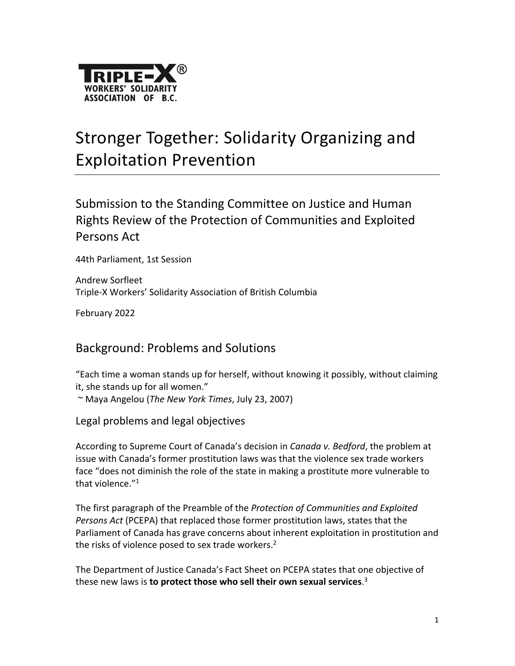

# Stronger Together: Solidarity Organizing and Exploitation Prevention

Submission to the Standing Committee on Justice and Human Rights Review of the Protection of Communities and Exploited Persons Act

44th Parliament, 1st Session

Andrew Sorfleet Triple-X Workers' Solidarity Association of British Columbia

February 2022

## Background: Problems and Solutions

"Each time a woman stands up for herself, without knowing it possibly, without claiming it, she stands up for all women."

~ Maya Angelou (*The New York Times*, July 23, 2007)

Legal problems and legal objectives

According to Supreme Court of Canada's decision in *Canada v. Bedford*, the problem at issue with Canada's former prostitution laws was that the violence sex trade workers face "does not diminish the role of the state in making a prostitute more vulnerable to that violence."<sup>1</sup>

The first paragraph of the Preamble of the *Protection of Communities and Exploited Persons Act* (PCEPA) that replaced those former prostitution laws, states that the Parliament of Canada has grave concerns about inherent exploitation in prostitution and the risks of violence posed to sex trade workers. $2$ 

The Department of Justice Canada's Fact Sheet on PCEPA states that one objective of these new laws is **to protect those who sell their own sexual services**. 3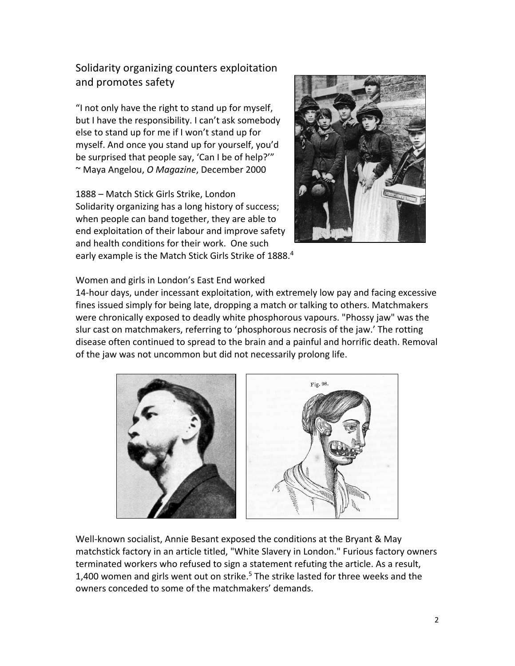Solidarity organizing counters exploitation and promotes safety

"I not only have the right to stand up for myself, but I have the responsibility. I can't ask somebody else to stand up for me if I won't stand up for myself. And once you stand up for yourself, you'd be surprised that people say, 'Can I be of help?'" ~ Maya Angelou, *O Magazine*, December 2000

1888 – Match Stick Girls Strike, London Solidarity organizing has a long history of success; when people can band together, they are able to end exploitation of their labour and improve safety and health conditions for their work. One such early example is the Match Stick Girls Strike of 1888.<sup>4</sup>



Women and girls in London's East End worked

14-hour days, under incessant exploitation, with extremely low pay and facing excessive fines issued simply for being late, dropping a match or talking to others. Matchmakers were chronically exposed to deadly white phosphorous vapours. "Phossy jaw" was the slur cast on matchmakers, referring to 'phosphorous necrosis of the jaw.' The rotting disease often continued to spread to the brain and a painful and horrific death. Removal of the jaw was not uncommon but did not necessarily prolong life.



Well-known socialist, Annie Besant exposed the conditions at the Bryant & May matchstick factory in an article titled, "White Slavery in London." Furious factory owners terminated workers who refused to sign a statement refuting the article. As a result, 1,400 women and girls went out on strike.<sup>5</sup> The strike lasted for three weeks and the owners conceded to some of the matchmakers' demands.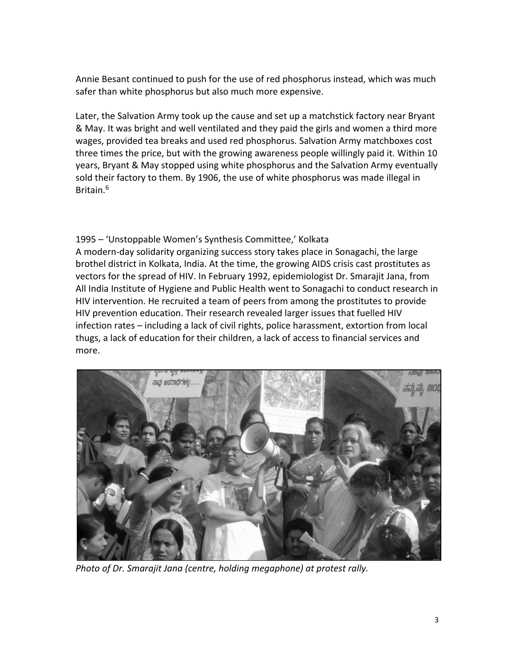Annie Besant continued to push for the use of red phosphorus instead, which was much safer than white phosphorus but also much more expensive.

Later, the Salvation Army took up the cause and set up a matchstick factory near Bryant & May. It was bright and well ventilated and they paid the girls and women a third more wages, provided tea breaks and used red phosphorus. Salvation Army matchboxes cost three times the price, but with the growing awareness people willingly paid it. Within 10 years, Bryant & May stopped using white phosphorus and the Salvation Army eventually sold their factory to them. By 1906, the use of white phosphorus was made illegal in Britain.<sup>6</sup>

1995 – 'Unstoppable Women's Synthesis Committee,' Kolkata A modern-day solidarity organizing success story takes place in Sonagachi, the large brothel district in Kolkata, India. At the time, the growing AIDS crisis cast prostitutes as vectors for the spread of HIV. In February 1992, epidemiologist Dr. Smarajit Jana, from All India Institute of Hygiene and Public Health went to Sonagachi to conduct research in HIV intervention. He recruited a team of peers from among the prostitutes to provide HIV prevention education. Their research revealed larger issues that fuelled HIV infection rates – including a lack of civil rights, police harassment, extortion from local thugs, a lack of education for their children, a lack of access to financial services and more.



*Photo of Dr. Smarajit Jana (centre, holding megaphone) at protest rally.*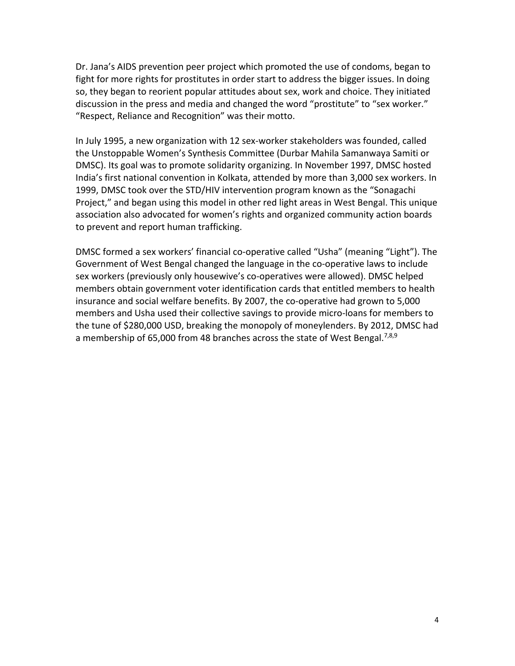Dr. Jana's AIDS prevention peer project which promoted the use of condoms, began to fight for more rights for prostitutes in order start to address the bigger issues. In doing so, they began to reorient popular attitudes about sex, work and choice. They initiated discussion in the press and media and changed the word "prostitute" to "sex worker." "Respect, Reliance and Recognition" was their motto.

In July 1995, a new organization with 12 sex-worker stakeholders was founded, called the Unstoppable Women's Synthesis Committee (Durbar Mahila Samanwaya Samiti or DMSC). Its goal was to promote solidarity organizing. In November 1997, DMSC hosted India's first national convention in Kolkata, attended by more than 3,000 sex workers. In 1999, DMSC took over the STD/HIV intervention program known as the "Sonagachi Project," and began using this model in other red light areas in West Bengal. This unique association also advocated for women's rights and organized community action boards to prevent and report human trafficking.

DMSC formed a sex workers' financial co-operative called "Usha" (meaning "Light"). The Government of West Bengal changed the language in the co-operative laws to include sex workers (previously only housewive's co-operatives were allowed). DMSC helped members obtain government voter identification cards that entitled members to health insurance and social welfare benefits. By 2007, the co-operative had grown to 5,000 members and Usha used their collective savings to provide micro-loans for members to the tune of \$280,000 USD, breaking the monopoly of moneylenders. By 2012, DMSC had a membership of 65,000 from 48 branches across the state of West Bengal.<sup>7,8,9</sup>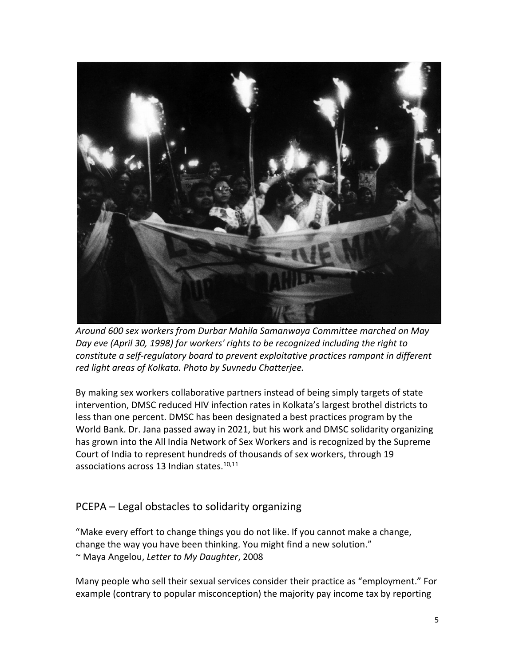

*Around 600 sex workers from Durbar Mahila Samanwaya Committee marched on May Day eve (April 30, 1998) for workers' rights to be recognized including the right to constitute a self-regulatory board to prevent exploitative practices rampant in different red light areas of Kolkata. Photo by Suvnedu Chatterjee.*

By making sex workers collaborative partners instead of being simply targets of state intervention, DMSC reduced HIV infection rates in Kolkata's largest brothel districts to less than one percent. DMSC has been designated a best practices program by the World Bank. Dr. Jana passed away in 2021, but his work and DMSC solidarity organizing has grown into the All India Network of Sex Workers and is recognized by the Supreme Court of India to represent hundreds of thousands of sex workers, through 19 associations across 13 Indian states.<sup>10,11</sup>

### PCEPA – Legal obstacles to solidarity organizing

"Make every effort to change things you do not like. If you cannot make a change, change the way you have been thinking. You might find a new solution." ~ Maya Angelou, *Letter to My Daughter*, 2008

Many people who sell their sexual services consider their practice as "employment." For example (contrary to popular misconception) the majority pay income tax by reporting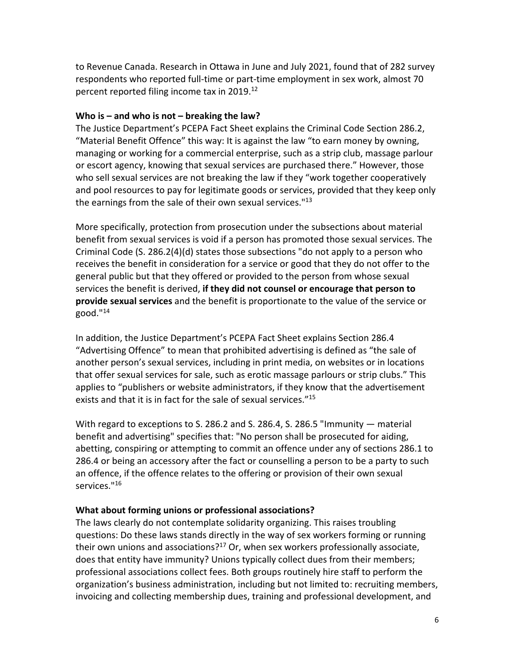to Revenue Canada. Research in Ottawa in June and July 2021, found that of 282 survey respondents who reported full-time or part-time employment in sex work, almost 70 percent reported filing income tax in 2019.<sup>12</sup>

#### **Who is – and who is not – breaking the law?**

The Justice Department's PCEPA Fact Sheet explains the Criminal Code Section 286.2, "Material Benefit Offence" this way: It is against the law "to earn money by owning, managing or working for a commercial enterprise, such as a strip club, massage parlour or escort agency, knowing that sexual services are purchased there." However, those who sell sexual services are not breaking the law if they "work together cooperatively and pool resources to pay for legitimate goods or services, provided that they keep only the earnings from the sale of their own sexual services."<sup>13</sup>

More specifically, protection from prosecution under the subsections about material benefit from sexual services is void if a person has promoted those sexual services. The Criminal Code (S. 286.2(4)(d) states those subsections "do not apply to a person who receives the benefit in consideration for a service or good that they do not offer to the general public but that they offered or provided to the person from whose sexual services the benefit is derived, **if they did not counsel or encourage that person to provide sexual services** and the benefit is proportionate to the value of the service or  $good.$ "14

In addition, the Justice Department's PCEPA Fact Sheet explains Section 286.4 "Advertising Offence" to mean that prohibited advertising is defined as "the sale of another person's sexual services, including in print media, on websites or in locations that offer sexual services for sale, such as erotic massage parlours or strip clubs." This applies to "publishers or website administrators, if they know that the advertisement exists and that it is in fact for the sale of sexual services."<sup>15</sup>

With regard to exceptions to S. 286.2 and S. 286.4, S. 286.5 "Immunity — material benefit and advertising" specifies that: "No person shall be prosecuted for aiding, abetting, conspiring or attempting to commit an offence under any of sections 286.1 to 286.4 or being an accessory after the fact or counselling a person to be a party to such an offence, if the offence relates to the offering or provision of their own sexual services."<sup>16</sup>

#### **What about forming unions or professional associations?**

The laws clearly do not contemplate solidarity organizing. This raises troubling questions: Do these laws stands directly in the way of sex workers forming or running their own unions and associations?<sup>17</sup> Or, when sex workers professionally associate, does that entity have immunity? Unions typically collect dues from their members; professional associations collect fees. Both groups routinely hire staff to perform the organization's business administration, including but not limited to: recruiting members, invoicing and collecting membership dues, training and professional development, and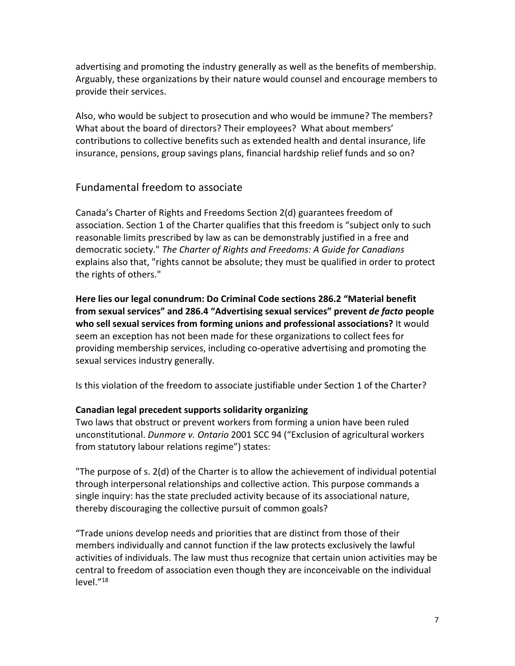advertising and promoting the industry generally as well as the benefits of membership. Arguably, these organizations by their nature would counsel and encourage members to provide their services.

Also, who would be subject to prosecution and who would be immune? The members? What about the board of directors? Their employees? What about members' contributions to collective benefits such as extended health and dental insurance, life insurance, pensions, group savings plans, financial hardship relief funds and so on?

## Fundamental freedom to associate

Canada's Charter of Rights and Freedoms Section 2(d) guarantees freedom of association. Section 1 of the Charter qualifies that this freedom is "subject only to such reasonable limits prescribed by law as can be demonstrably justified in a free and democratic society." *The Charter of Rights and Freedoms: A Guide for Canadians* explains also that, "rights cannot be absolute; they must be qualified in order to protect the rights of others."

**Here lies our legal conundrum: Do Criminal Code sections 286.2 "Material benefit from sexual services" and 286.4 "Advertising sexual services" prevent** *de facto* **people who sell sexual services from forming unions and professional associations?** It would seem an exception has not been made for these organizations to collect fees for providing membership services, including co-operative advertising and promoting the sexual services industry generally.

Is this violation of the freedom to associate justifiable under Section 1 of the Charter?

### **Canadian legal precedent supports solidarity organizing**

Two laws that obstruct or prevent workers from forming a union have been ruled unconstitutional. *Dunmore v. Ontario* 2001 SCC 94 ("Exclusion of agricultural workers from statutory labour relations regime") states:

"The purpose of s. 2(d) of the Charter is to allow the achievement of individual potential through interpersonal relationships and collective action. This purpose commands a single inquiry: has the state precluded activity because of its associational nature, thereby discouraging the collective pursuit of common goals?

"Trade unions develop needs and priorities that are distinct from those of their members individually and cannot function if the law protects exclusively the lawful activities of individuals. The law must thus recognize that certain union activities may be central to freedom of association even though they are inconceivable on the individual level."18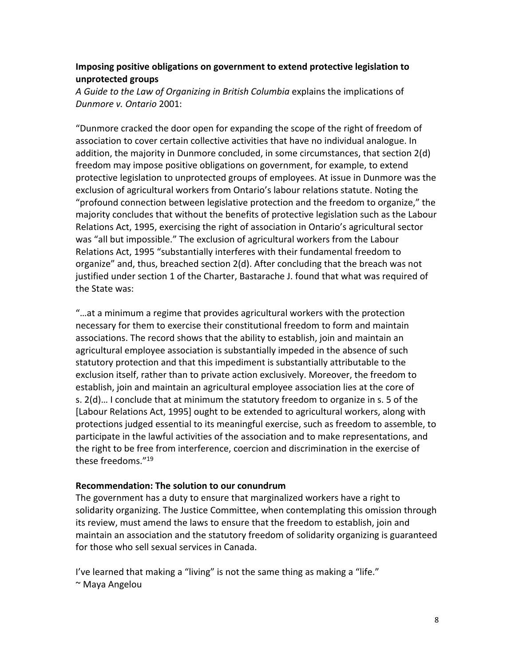#### **Imposing positive obligations on government to extend protective legislation to unprotected groups**

*A Guide to the Law of Organizing in British Columbia* explains the implications of *Dunmore v. Ontario* 2001:

"Dunmore cracked the door open for expanding the scope of the right of freedom of association to cover certain collective activities that have no individual analogue. In addition, the majority in Dunmore concluded, in some circumstances, that section 2(d) freedom may impose positive obligations on government, for example, to extend protective legislation to unprotected groups of employees. At issue in Dunmore was the exclusion of agricultural workers from Ontario's labour relations statute. Noting the "profound connection between legislative protection and the freedom to organize," the majority concludes that without the benefits of protective legislation such as the Labour Relations Act, 1995, exercising the right of association in Ontario's agricultural sector was "all but impossible." The exclusion of agricultural workers from the Labour Relations Act, 1995 "substantially interferes with their fundamental freedom to organize" and, thus, breached section 2(d). After concluding that the breach was not justified under section 1 of the Charter, Bastarache J. found that what was required of the State was:

"…at a minimum a regime that provides agricultural workers with the protection necessary for them to exercise their constitutional freedom to form and maintain associations. The record shows that the ability to establish, join and maintain an agricultural employee association is substantially impeded in the absence of such statutory protection and that this impediment is substantially attributable to the exclusion itself, rather than to private action exclusively. Moreover, the freedom to establish, join and maintain an agricultural employee association lies at the core of s. 2(d)… I conclude that at minimum the statutory freedom to organize in s. 5 of the [Labour Relations Act, 1995] ought to be extended to agricultural workers, along with protections judged essential to its meaningful exercise, such as freedom to assemble, to participate in the lawful activities of the association and to make representations, and the right to be free from interference, coercion and discrimination in the exercise of these freedoms."<sup>19</sup>

#### **Recommendation: The solution to our conundrum**

The government has a duty to ensure that marginalized workers have a right to solidarity organizing. The Justice Committee, when contemplating this omission through its review, must amend the laws to ensure that the freedom to establish, join and maintain an association and the statutory freedom of solidarity organizing is guaranteed for those who sell sexual services in Canada.

I've learned that making a "living" is not the same thing as making a "life." ~ Maya Angelou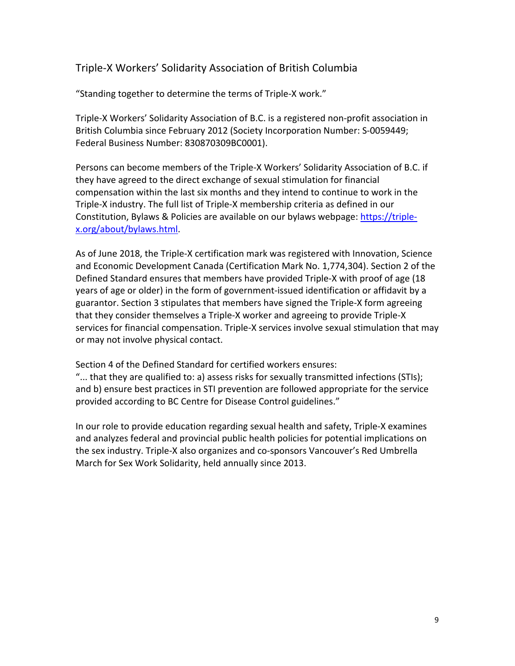## Triple-X Workers' Solidarity Association of British Columbia

"Standing together to determine the terms of Triple-X work."

Triple-X Workers' Solidarity Association of B.C. is a registered non-profit association in British Columbia since February 2012 (Society Incorporation Number: S-0059449; Federal Business Number: 830870309BC0001).

Persons can become members of the Triple-X Workers' Solidarity Association of B.C. if they have agreed to the direct exchange of sexual stimulation for financial compensation within the last six months and they intend to continue to work in the Triple-X industry. The full list of Triple-X membership criteria as defined in our Constitution, Bylaws & Policies are available on our bylaws webpage: [https://triple](https://triple-x.org/about/bylaws.html)[x.org/about/bylaws.html.](https://triple-x.org/about/bylaws.html)

As of June 2018, the Triple-X certification mark was registered with Innovation, Science and Economic Development Canada (Certification Mark No. 1,774,304). Section 2 of the Defined Standard ensures that members have provided Triple-X with proof of age (18 years of age or older) in the form of government-issued identification or affidavit by a guarantor. Section 3 stipulates that members have signed the Triple-X form agreeing that they consider themselves a Triple-X worker and agreeing to provide Triple-X services for financial compensation. Triple-X services involve sexual stimulation that may or may not involve physical contact.

Section 4 of the Defined Standard for certified workers ensures:

"... that they are qualified to: a) assess risks for sexually transmitted infections (STIs); and b) ensure best practices in STI prevention are followed appropriate for the service provided according to BC Centre for Disease Control guidelines."

In our role to provide education regarding sexual health and safety, Triple-X examines and analyzes federal and provincial public health policies for potential implications on the sex industry. Triple-X also organizes and co-sponsors Vancouver's Red Umbrella March for Sex Work Solidarity, held annually since 2013.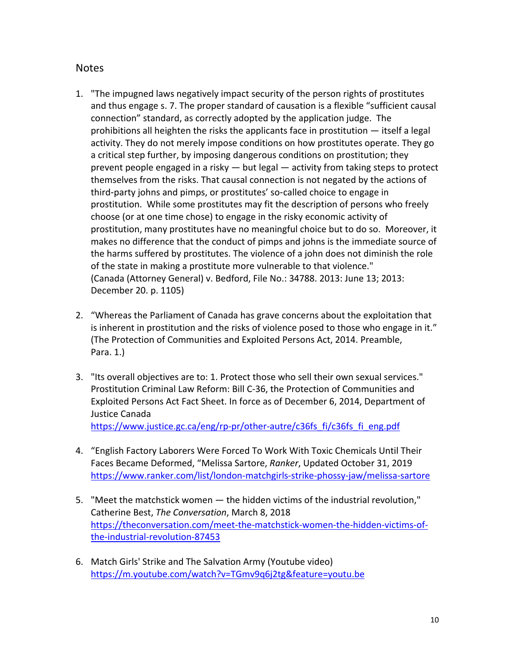#### **Notes**

- 1. "The impugned laws negatively impact security of the person rights of prostitutes and thus engage s. 7. The proper standard of causation is a flexible "sufficient causal connection" standard, as correctly adopted by the application judge. The prohibitions all heighten the risks the applicants face in prostitution — itself a legal activity. They do not merely impose conditions on how prostitutes operate. They go a critical step further, by imposing dangerous conditions on prostitution; they prevent people engaged in a risky — but legal — activity from taking steps to protect themselves from the risks. That causal connection is not negated by the actions of third‑party johns and pimps, or prostitutes' so‑called choice to engage in prostitution. While some prostitutes may fit the description of persons who freely choose (or at one time chose) to engage in the risky economic activity of prostitution, many prostitutes have no meaningful choice but to do so. Moreover, it makes no difference that the conduct of pimps and johns is the immediate source of the harms suffered by prostitutes. The violence of a john does not diminish the role of the state in making a prostitute more vulnerable to that violence." (Canada (Attorney General) v. Bedford, File No.: 34788. 2013: June 13; 2013: December 20. p. 1105)
- 2. "Whereas the Parliament of Canada has grave concerns about the exploitation that is inherent in prostitution and the risks of violence posed to those who engage in it." (The Protection of Communities and Exploited Persons Act, 2014. Preamble, Para. 1.)
- 3. "Its overall objectives are to: 1. Protect those who sell their own sexual services." Prostitution Criminal Law Reform: Bill C-36, the Protection of Communities and Exploited Persons Act Fact Sheet. In force as of December 6, 2014, Department of Justice Canada [https://www.justice.gc.ca/eng/rp-pr/other-autre/c36fs\\_fi/c36fs\\_fi\\_eng.pdf](https://www.justice.gc.ca/eng/rp-pr/other-autre/c36fs_fi/c36fs_fi_eng.pdf)
- 4. "English Factory Laborers Were Forced To Work With Toxic Chemicals Until Their Faces Became Deformed, "Melissa Sartore, *Ranker*, Updated October 31, 2019 <https://www.ranker.com/list/london-matchgirls-strike-phossy-jaw/melissa-sartore>
- 5. "Meet the matchstick women the hidden victims of the industrial revolution," Catherine Best, *The Conversation*, March 8, 2018 [https://theconversation.com/meet-the-matchstick-women-the-hidden-victims-of](https://theconversation.com/meet-the-matchstick-women-the-hidden-victims-of-the-industrial-revolution-87453)[the-industrial-revolution-87453](https://theconversation.com/meet-the-matchstick-women-the-hidden-victims-of-the-industrial-revolution-87453)
- 6. Match Girls' Strike and The Salvation Army (Youtube video) <https://m.youtube.com/watch?v=TGmv9q6j2tg&feature=youtu.be>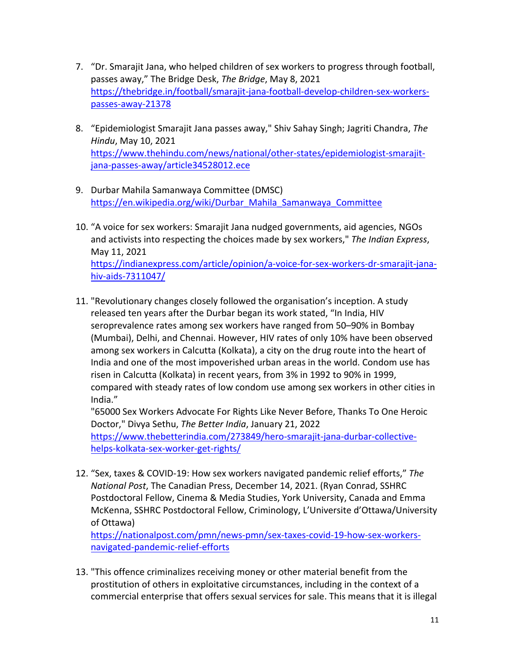- 7. "Dr. Smarajit Jana, who helped children of sex workers to progress through football, passes away," The Bridge Desk, *The Bridge*, May 8, 2021 [https://thebridge.in/football/smarajit-jana-football-develop-children-sex-workers](https://thebridge.in/football/smarajit-jana-football-develop-children-sex-workers-passes-away-21378)[passes-away-21378](https://thebridge.in/football/smarajit-jana-football-develop-children-sex-workers-passes-away-21378)
- 8. "Epidemiologist Smarajit Jana passes away," Shiv Sahay Singh; Jagriti Chandra, *The Hindu*, May 10, 2021 [https://www.thehindu.com/news/national/other-states/epidemiologist-smarajit](https://www.thehindu.com/news/national/other-states/epidemiologist-smarajit-jana-passes-away/article34528012.ece)[jana-passes-away/article34528012.ece](https://www.thehindu.com/news/national/other-states/epidemiologist-smarajit-jana-passes-away/article34528012.ece)
- 9. Durbar Mahila Samanwaya Committee (DMSC) [https://en.wikipedia.org/wiki/Durbar\\_Mahila\\_Samanwaya\\_Committee](https://en.wikipedia.org/wiki/Durbar_Mahila_Samanwaya_Committee)
- 10. "A voice for sex workers: Smarajit Jana nudged governments, aid agencies, NGOs and activists into respecting the choices made by sex workers," *The Indian Express*, May 11, 2021 [https://indianexpress.com/article/opinion/a-voice-for-sex-workers-dr-smarajit-jana](https://indianexpress.com/article/opinion/a-voice-for-sex-workers-dr-smarajit-jana-hiv-aids-7311047/)[hiv-aids-7311047/](https://indianexpress.com/article/opinion/a-voice-for-sex-workers-dr-smarajit-jana-hiv-aids-7311047/)
- 11. "Revolutionary changes closely followed the organisation's inception. A study released ten years after the Durbar began its work stated, "In India, HIV seroprevalence rates among sex workers have ranged from 50–90% in Bombay (Mumbai), Delhi, and Chennai. However, HIV rates of only 10% have been observed among sex workers in Calcutta (Kolkata), a city on the drug route into the heart of India and one of the most impoverished urban areas in the world. Condom use has risen in Calcutta (Kolkata) in recent years, from 3% in 1992 to 90% in 1999, compared with steady rates of low condom use among sex workers in other cities in India."

"65000 Sex Workers Advocate For Rights Like Never Before, Thanks To One Heroic Doctor," Divya Sethu, *The Better India*, January 21, 2022 [https://www.thebetterindia.com/273849/hero-smarajit-jana-durbar-collective](https://www.thebetterindia.com/273849/hero-smarajit-jana-durbar-collective-helps-kolkata-sex-worker-get-rights/)[helps-kolkata-sex-worker-get-rights/](https://www.thebetterindia.com/273849/hero-smarajit-jana-durbar-collective-helps-kolkata-sex-worker-get-rights/)

12. "Sex, taxes & COVID-19: How sex workers navigated pandemic relief efforts," *The National Post*, The Canadian Press, December 14, 2021. (Ryan Conrad, SSHRC Postdoctoral Fellow, Cinema & Media Studies, York University, Canada and Emma McKenna, SSHRC Postdoctoral Fellow, Criminology, L'Universite d'Ottawa/University of Ottawa)

[https://nationalpost.com/pmn/news-pmn/sex-taxes-covid-19-how-sex-workers](https://nationalpost.com/pmn/news-pmn/sex-taxes-covid-19-how-sex-workers-navigated-pandemic-relief-efforts)[navigated-pandemic-relief-efforts](https://nationalpost.com/pmn/news-pmn/sex-taxes-covid-19-how-sex-workers-navigated-pandemic-relief-efforts)

13. "This offence criminalizes receiving money or other material benefit from the prostitution of others in exploitative circumstances, including in the context of a commercial enterprise that offers sexual services for sale. This means that it is illegal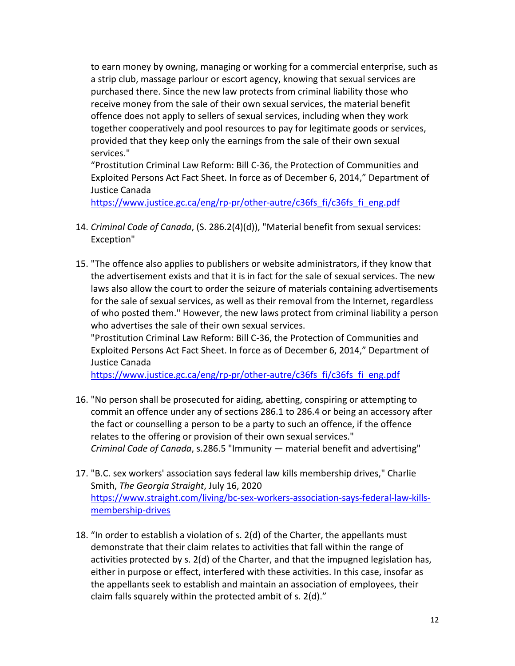to earn money by owning, managing or working for a commercial enterprise, such as a strip club, massage parlour or escort agency, knowing that sexual services are purchased there. Since the new law protects from criminal liability those who receive money from the sale of their own sexual services, the material benefit offence does not apply to sellers of sexual services, including when they work together cooperatively and pool resources to pay for legitimate goods or services, provided that they keep only the earnings from the sale of their own sexual services."

"Prostitution Criminal Law Reform: Bill C-36, the Protection of Communities and Exploited Persons Act Fact Sheet. In force as of December 6, 2014," Department of Justice Canada

[https://www.justice.gc.ca/eng/rp-pr/other-autre/c36fs\\_fi/c36fs\\_fi\\_eng.pdf](https://www.justice.gc.ca/eng/rp-pr/other-autre/c36fs_fi/c36fs_fi_eng.pdf)

- 14. *Criminal Code of Canada*, (S. 286.2(4)(d)), "Material benefit from sexual services: Exception"
- 15. "The offence also applies to publishers or website administrators, if they know that the advertisement exists and that it is in fact for the sale of sexual services. The new laws also allow the court to order the seizure of materials containing advertisements for the sale of sexual services, as well as their removal from the Internet, regardless of who posted them." However, the new laws protect from criminal liability a person who advertises the sale of their own sexual services.

"Prostitution Criminal Law Reform: Bill C-36, the Protection of Communities and Exploited Persons Act Fact Sheet. In force as of December 6, 2014," Department of Justice Canada

[https://www.justice.gc.ca/eng/rp-pr/other-autre/c36fs\\_fi/c36fs\\_fi\\_eng.pdf](https://www.justice.gc.ca/eng/rp-pr/other-autre/c36fs_fi/c36fs_fi_eng.pdf)

- 16. "No person shall be prosecuted for aiding, abetting, conspiring or attempting to commit an offence under any of sections 286.1 to 286.4 or being an accessory after the fact or counselling a person to be a party to such an offence, if the offence relates to the offering or provision of their own sexual services." *Criminal Code of Canada*, s.286.5 "Immunity — material benefit and advertising"
- 17. "B.C. sex workers' association says federal law kills membership drives," Charlie Smith, *The Georgia Straight*, July 16, 2020 [https://www.straight.com/living/bc-sex-workers-association-says-federal-law-kills](https://www.straight.com/living/bc-sex-workers-association-says-federal-law-kills-membership-drives)[membership-drives](https://www.straight.com/living/bc-sex-workers-association-says-federal-law-kills-membership-drives)
- 18. "In order to establish a violation of s. 2(d) of the Charter, the appellants must demonstrate that their claim relates to activities that fall within the range of activities protected by s. 2(d) of the Charter, and that the impugned legislation has, either in purpose or effect, interfered with these activities. In this case, insofar as the appellants seek to establish and maintain an association of employees, their claim falls squarely within the protected ambit of s. 2(d)."